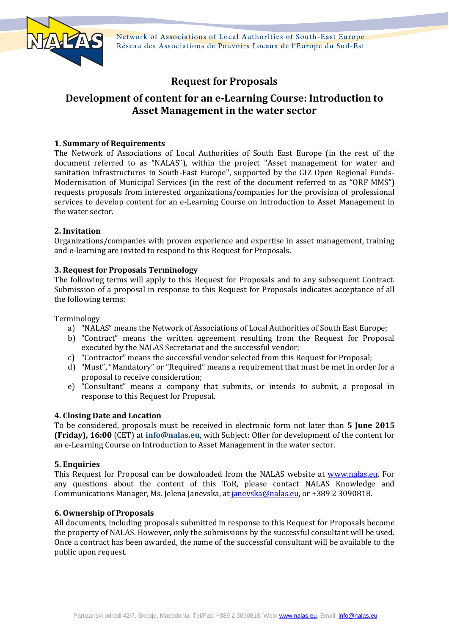

Network of Associations of Local Authorities of South-East Europe Réseau des Associations de Pouvoirs Locaux de l'Europe du Sud-Est

# **Request for Proposals**

# **Development of content for an e-Learning Course: Introduction to Asset Management in the water sector**

# **1. Summary of Requirements**

The Network of Associations of Local Authorities of South East Europe (in the rest of the document referred to as "NALAS"), within the project "Asset management for water and sanitation infrastructures in South-East Europe", supported by the GIZ Open Regional Funds-Modernisation of Municipal Services (in the rest of the document referred to as "ORF MMS") requests proposals from interested organizations/companies for the provision of professional services to develop content for an e-Learning Course on Introduction to Asset Management in the water sector.

## **2. Invitation**

Organizations/companies with proven experience and expertise in asset management, training and e-learning are invited to respond to this Request for Proposals.

## **3. Request for Proposals Terminology**

The following terms will apply to this Request for Proposals and to any subsequent Contract. Submission of a proposal in response to this Request for Proposals indicates acceptance of all the following terms:

Terminology

- a) "NALAS" means the Network of Associations of Local Authorities of South East Europe;
- b) "Contract" means the written agreement resulting from the Request for Proposal executed by the NALAS Secretariat and the successful vendor;
- c) "Contractor" means the successful vendor selected from this Request for Proposal;
- d) "Must", "Mandatory" or "Required" means a requirement that must be met in order for a proposal to receive consideration;
- e) "Consultant" means a company that submits, or intends to submit, a proposal in response to this Request for Proposal.

## **4. Closing Date and Location**

To be considered, proposals must be received in electronic form not later than **5 June 2015 (Friday), 16:00** (CET) at **info@nalas.eu**, with Subject: Offer for development of the content for an e-Learning Course on Introduction to Asset Management in the water sector.

## **5. Enquiries**

This Request for Proposal can be downloaded from the NALAS website at [www.nalas.eu.](http://www.nalas.eu/) For any questions about the content of this ToR, please contact NALAS Knowledge and Communications Manager, Ms. Jelena Janevska, at [janevska@nalas.eu,](mailto:janevska@nalas.eu) or +389 2 3090818.

## **6. Ownership of Proposals**

All documents, including proposals submitted in response to this Request for Proposals become the property of NALAS. However, only the submissions by the successful consultant will be used. Once a contract has been awarded, the name of the successful consultant will be available to the public upon request.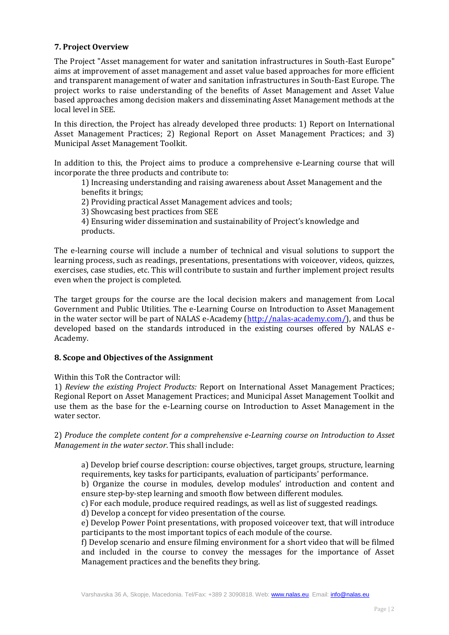## **7. Project Overview**

The Project "Asset management for water and sanitation infrastructures in South-East Europe" aims at improvement of asset management and asset value based approaches for more efficient and transparent management of water and sanitation infrastructures in South-East Europe. The project works to raise understanding of the benefits of Asset Management and Asset Value based approaches among decision makers and disseminating Asset Management methods at the local level in SEE.

In this direction, the Project has already developed three products: 1) Report on International Asset Management Practices; 2) Regional Report on Asset Management Practices; and 3) Municipal Asset Management Toolkit.

In addition to this, the Project aims to produce a comprehensive e-Learning course that will incorporate the three products and contribute to:

1) Increasing understanding and raising awareness about Asset Management and the benefits it brings;

2) Providing practical Asset Management advices and tools;

3) Showcasing best practices from SEE

4) Ensuring wider dissemination and sustainability of Project's knowledge and products.

The e-learning course will include a number of technical and visual solutions to support the learning process, such as readings, presentations, presentations with voiceover, videos, quizzes, exercises, case studies, etc. This will contribute to sustain and further implement project results even when the project is completed.

The target groups for the course are the local decision makers and management from Local Government and Public Utilities. The e-Learning Course on Introduction to Asset Management in the water sector will be part of NALAS e-Academy [\(http://nalas-academy.com/\)](http://nalas-academy.com/), and thus be developed based on the standards introduced in the existing courses offered by NALAS e-Academy.

## **8. Scope and Objectives of the Assignment**

Within this ToR the Contractor will:

1) *Review the existing Project Products:* Report on International Asset Management Practices; Regional Report on Asset Management Practices; and Municipal Asset Management Toolkit and use them as the base for the e-Learning course on Introduction to Asset Management in the water sector.

2) *Produce the complete content for a comprehensive e-Learning course on Introduction to Asset Management in the water sector*. This shall include:

a) Develop brief course description: course objectives, target groups, structure, learning requirements, key tasks for participants, evaluation of participants' performance.

b) Organize the course in modules, develop modules' introduction and content and ensure step-by-step learning and smooth flow between different modules.

c) For each module, produce required readings, as well as list of suggested readings.

d) Develop a concept for video presentation of the course.

e) Develop Power Point presentations, with proposed voiceover text, that will introduce participants to the most important topics of each module of the course.

f) Develop scenario and ensure filming environment for a short video that will be filmed and included in the course to convey the messages for the importance of Asset Management practices and the benefits they bring.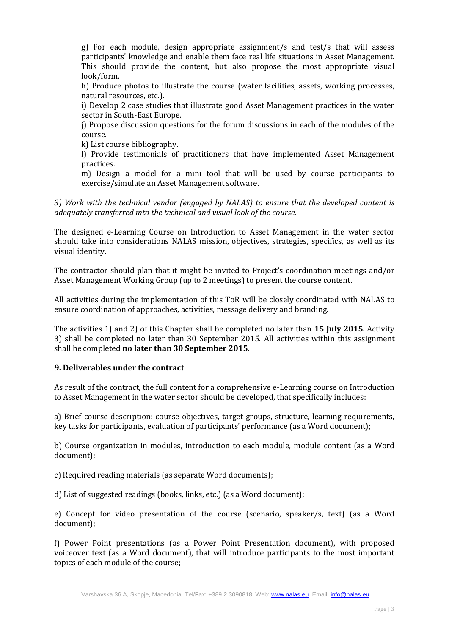g) For each module, design appropriate assignment/s and test/s that will assess participants' knowledge and enable them face real life situations in Asset Management. This should provide the content, but also propose the most appropriate visual look/form.

h) Produce photos to illustrate the course (water facilities, assets, working processes, natural resources, etc.).

i) Develop 2 case studies that illustrate good Asset Management practices in the water sector in South-East Europe.

j) Propose discussion questions for the forum discussions in each of the modules of the course.

k) List course bibliography.

l) Provide testimonials of practitioners that have implemented Asset Management practices.

m) Design a model for a mini tool that will be used by course participants to exercise/simulate an Asset Management software.

*3) Work with the technical vendor (engaged by NALAS) to ensure that the developed content is adequately transferred into the technical and visual look of the course.* 

The designed e-Learning Course on Introduction to Asset Management in the water sector should take into considerations NALAS mission, objectives, strategies, specifics, as well as its visual identity.

The contractor should plan that it might be invited to Project's coordination meetings and/or Asset Management Working Group (up to 2 meetings) to present the course content.

All activities during the implementation of this ToR will be closely coordinated with NALAS to ensure coordination of approaches, activities, message delivery and branding.

The activities 1) and 2) of this Chapter shall be completed no later than **15 July 2015**. Activity 3) shall be completed no later than 30 September 2015. All activities within this assignment shall be completed **no later than 30 September 2015**.

## **9. Deliverables under the contract**

As result of the contract, the full content for a comprehensive e-Learning course on Introduction to Asset Management in the water sector should be developed, that specifically includes:

a) Brief course description: course objectives, target groups, structure, learning requirements, key tasks for participants, evaluation of participants' performance (as a Word document);

b) Course organization in modules, introduction to each module, module content (as a Word document);

c) Required reading materials (as separate Word documents);

d) List of suggested readings (books, links, etc.) (as a Word document);

e) Concept for video presentation of the course (scenario, speaker/s, text) (as a Word document);

f) Power Point presentations (as a Power Point Presentation document), with proposed voiceover text (as a Word document), that will introduce participants to the most important topics of each module of the course;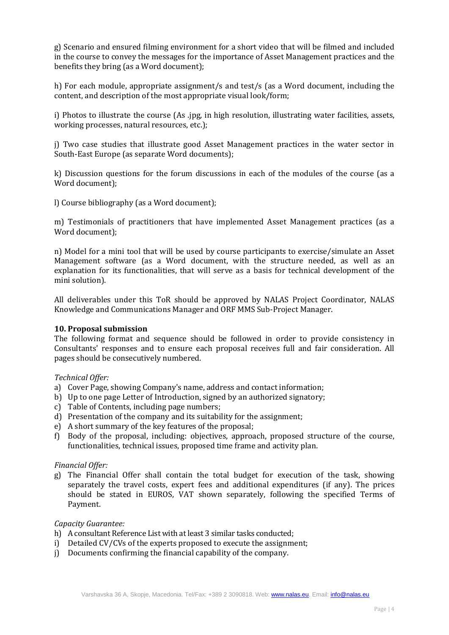g) Scenario and ensured filming environment for a short video that will be filmed and included in the course to convey the messages for the importance of Asset Management practices and the benefits they bring (as a Word document);

h) For each module, appropriate assignment/s and test/s (as a Word document, including the content, and description of the most appropriate visual look/form;

i) Photos to illustrate the course (As .jpg, in high resolution, illustrating water facilities, assets, working processes, natural resources, etc.);

j) Two case studies that illustrate good Asset Management practices in the water sector in South-East Europe (as separate Word documents);

k) Discussion questions for the forum discussions in each of the modules of the course (as a Word document);

l) Course bibliography (as a Word document);

m) Testimonials of practitioners that have implemented Asset Management practices (as a Word document);

n) Model for a mini tool that will be used by course participants to exercise/simulate an Asset Management software (as a Word document, with the structure needed, as well as an explanation for its functionalities, that will serve as a basis for technical development of the mini solution).

All deliverables under this ToR should be approved by NALAS Project Coordinator, NALAS Knowledge and Communications Manager and ORF MMS Sub-Project Manager.

## **10. Proposal submission**

The following format and sequence should be followed in order to provide consistency in Consultants' responses and to ensure each proposal receives full and fair consideration. All pages should be consecutively numbered.

#### *Technical Offer:*

- a) Cover Page, showing Company's name, address and contact information;
- b) Up to one page Letter of Introduction, signed by an authorized signatory;
- c) Table of Contents, including page numbers;
- d) Presentation of the company and its suitability for the assignment;
- e) A short summary of the key features of the proposal;
- f) Body of the proposal, including: objectives, approach, proposed structure of the course, functionalities, technical issues, proposed time frame and activity plan.

#### *Financial Offer:*

g) The Financial Offer shall contain the total budget for execution of the task, showing separately the travel costs, expert fees and additional expenditures (if any). The prices should be stated in EUROS, VAT shown separately, following the specified Terms of Payment.

## *Capacity Guarantee:*

- h) A consultant Reference List with at least 3 similar tasks conducted;
- i) Detailed CV/CVs of the experts proposed to execute the assignment;
- j) Documents confirming the financial capability of the company.